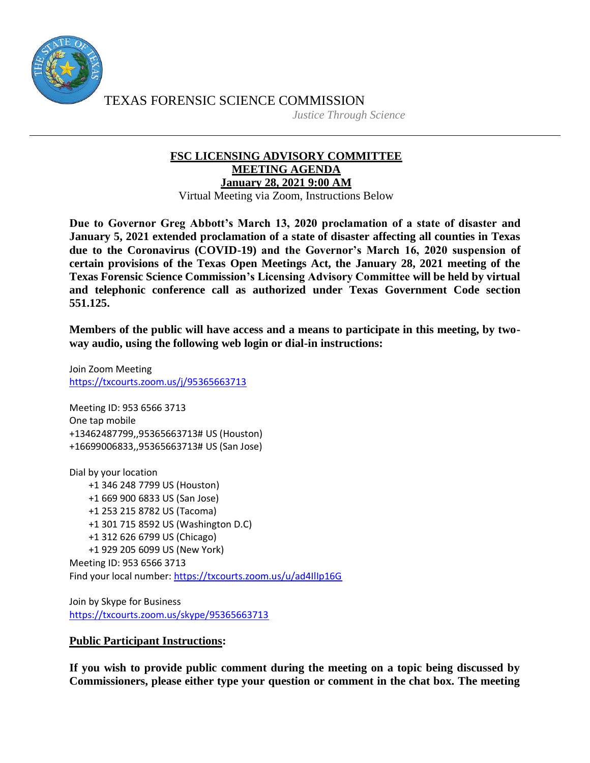

TEXAS FORENSIC SCIENCE COMMISSION

*Justice Through Science*

## **FSC LICENSING ADVISORY COMMITTEE MEETING AGENDA January 28, 2021 9:00 AM**

Virtual Meeting via Zoom, Instructions Below

**Due to Governor Greg Abbott's March 13, 2020 proclamation of a state of disaster and January 5, 2021 extended proclamation of a state of disaster affecting all counties in Texas due to the Coronavirus (COVID-19) and the Governor's March 16, 2020 suspension of certain provisions of the Texas Open Meetings Act, the January 28, 2021 meeting of the Texas Forensic Science Commission's Licensing Advisory Committee will be held by virtual and telephonic conference call as authorized under Texas Government Code section 551.125.**

**Members of the public will have access and a means to participate in this meeting, by twoway audio, using the following web login or dial-in instructions:**

Join Zoom Meeting <https://txcourts.zoom.us/j/95365663713>

Meeting ID: 953 6566 3713 One tap mobile +13462487799,,95365663713# US (Houston) +16699006833,,95365663713# US (San Jose)

Dial by your location +1 346 248 7799 US (Houston) +1 669 900 6833 US (San Jose) +1 253 215 8782 US (Tacoma) +1 301 715 8592 US (Washington D.C) +1 312 626 6799 US (Chicago) +1 929 205 6099 US (New York) Meeting ID: 953 6566 3713 Find your local number:<https://txcourts.zoom.us/u/ad4IlIp16G>

Join by Skype for Business <https://txcourts.zoom.us/skype/95365663713>

## **Public Participant Instructions:**

**If you wish to provide public comment during the meeting on a topic being discussed by Commissioners, please either type your question or comment in the chat box. The meeting**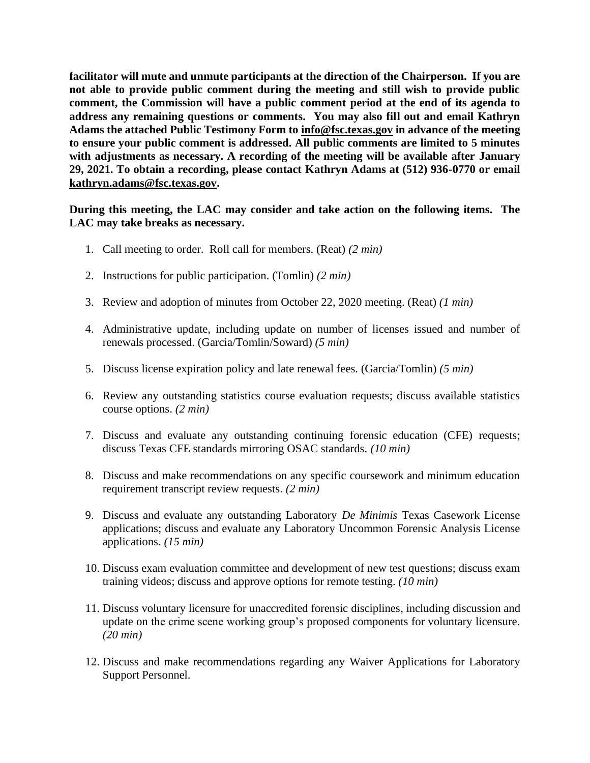**facilitator will mute and unmute participants at the direction of the Chairperson. If you are not able to provide public comment during the meeting and still wish to provide public comment, the Commission will have a public comment period at the end of its agenda to address any remaining questions or comments. You may also fill out and email Kathryn Adams the attached Public Testimony Form to [info@fsc.texas.gov](mailto:info@fsc.texas.gov) in advance of the meeting to ensure your public comment is addressed. All public comments are limited to 5 minutes with adjustments as necessary. A recording of the meeting will be available after January 29, 2021. To obtain a recording, please contact Kathryn Adams at (512) 936-0770 or email [kathryn.adams@fsc.texas.gov.](mailto:info@fsc.texas.gov)**

**During this meeting, the LAC may consider and take action on the following items. The LAC may take breaks as necessary.**

- 1. Call meeting to order. Roll call for members. (Reat) *(2 min)*
- 2. Instructions for public participation. (Tomlin) *(2 min)*
- 3. Review and adoption of minutes from October 22, 2020 meeting. (Reat) *(1 min)*
- 4. Administrative update, including update on number of licenses issued and number of renewals processed. (Garcia/Tomlin/Soward) *(5 min)*
- 5. Discuss license expiration policy and late renewal fees. (Garcia/Tomlin) *(5 min)*
- 6. Review any outstanding statistics course evaluation requests; discuss available statistics course options. *(2 min)*
- 7. Discuss and evaluate any outstanding continuing forensic education (CFE) requests; discuss Texas CFE standards mirroring OSAC standards. *(10 min)*
- 8. Discuss and make recommendations on any specific coursework and minimum education requirement transcript review requests. *(2 min)*
- 9. Discuss and evaluate any outstanding Laboratory *De Minimis* Texas Casework License applications; discuss and evaluate any Laboratory Uncommon Forensic Analysis License applications. *(15 min)*
- 10. Discuss exam evaluation committee and development of new test questions; discuss exam training videos; discuss and approve options for remote testing. *(10 min)*
- 11. Discuss voluntary licensure for unaccredited forensic disciplines, including discussion and update on the crime scene working group's proposed components for voluntary licensure. *(20 min)*
- 12. Discuss and make recommendations regarding any Waiver Applications for Laboratory Support Personnel.